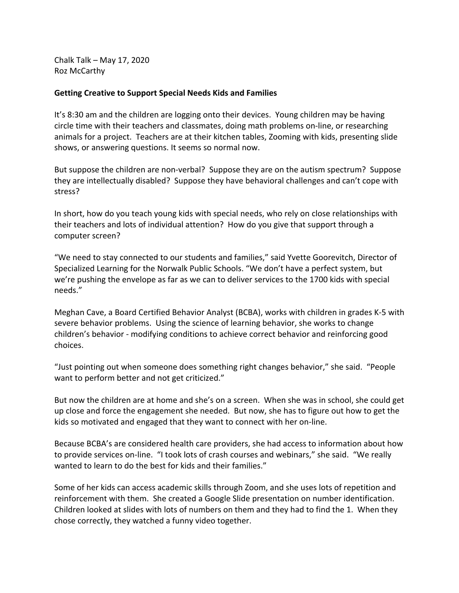Chalk Talk – May 17, 2020 Roz McCarthy

## **Getting Creative to Support Special Needs Kids and Families**

It's 8:30 am and the children are logging onto their devices. Young children may be having circle time with their teachers and classmates, doing math problems on-line, or researching animals for a project. Teachers are at their kitchen tables, Zooming with kids, presenting slide shows, or answering questions. It seems so normal now.

But suppose the children are non-verbal? Suppose they are on the autism spectrum? Suppose they are intellectually disabled? Suppose they have behavioral challenges and can't cope with stress?

In short, how do you teach young kids with special needs, who rely on close relationships with their teachers and lots of individual attention? How do you give that support through a computer screen?

"We need to stay connected to our students and families," said Yvette Goorevitch, Director of Specialized Learning for the Norwalk Public Schools. "We don't have a perfect system, but we're pushing the envelope as far as we can to deliver services to the 1700 kids with special needs."

Meghan Cave, a Board Certified Behavior Analyst (BCBA), works with children in grades K-5 with severe behavior problems. Using the science of learning behavior, she works to change children's behavior - modifying conditions to achieve correct behavior and reinforcing good choices.

"Just pointing out when someone does something right changes behavior," she said. "People want to perform better and not get criticized."

But now the children are at home and she's on a screen. When she was in school, she could get up close and force the engagement she needed. But now, she has to figure out how to get the kids so motivated and engaged that they want to connect with her on-line.

Because BCBA's are considered health care providers, she had access to information about how to provide services on-line. "I took lots of crash courses and webinars," she said. "We really wanted to learn to do the best for kids and their families."

Some of her kids can access academic skills through Zoom, and she uses lots of repetition and reinforcement with them. She created a Google Slide presentation on number identification. Children looked at slides with lots of numbers on them and they had to find the 1. When they chose correctly, they watched a funny video together.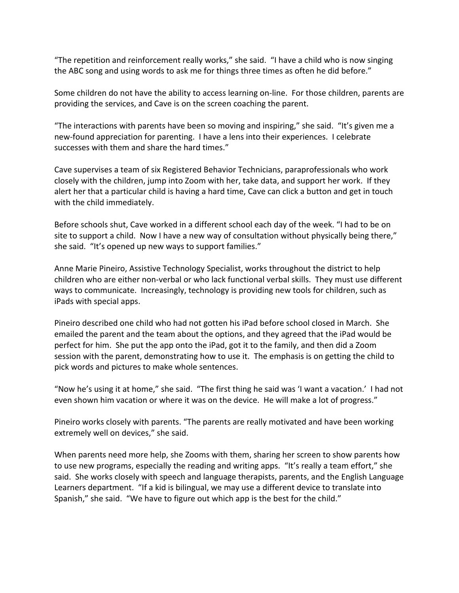"The repetition and reinforcement really works," she said. "I have a child who is now singing the ABC song and using words to ask me for things three times as often he did before."

Some children do not have the ability to access learning on-line. For those children, parents are providing the services, and Cave is on the screen coaching the parent.

"The interactions with parents have been so moving and inspiring," she said. "It's given me a new-found appreciation for parenting. I have a lens into their experiences. I celebrate successes with them and share the hard times."

Cave supervises a team of six Registered Behavior Technicians, paraprofessionals who work closely with the children, jump into Zoom with her, take data, and support her work. If they alert her that a particular child is having a hard time, Cave can click a button and get in touch with the child immediately.

Before schools shut, Cave worked in a different school each day of the week. "I had to be on site to support a child. Now I have a new way of consultation without physically being there," she said. "It's opened up new ways to support families."

Anne Marie Pineiro, Assistive Technology Specialist, works throughout the district to help children who are either non-verbal or who lack functional verbal skills. They must use different ways to communicate. Increasingly, technology is providing new tools for children, such as iPads with special apps.

Pineiro described one child who had not gotten his iPad before school closed in March. She emailed the parent and the team about the options, and they agreed that the iPad would be perfect for him. She put the app onto the iPad, got it to the family, and then did a Zoom session with the parent, demonstrating how to use it. The emphasis is on getting the child to pick words and pictures to make whole sentences.

"Now he's using it at home," she said. "The first thing he said was 'I want a vacation.' I had not even shown him vacation or where it was on the device. He will make a lot of progress."

Pineiro works closely with parents. "The parents are really motivated and have been working extremely well on devices," she said.

When parents need more help, she Zooms with them, sharing her screen to show parents how to use new programs, especially the reading and writing apps. "It's really a team effort," she said. She works closely with speech and language therapists, parents, and the English Language Learners department. "If a kid is bilingual, we may use a different device to translate into Spanish," she said. "We have to figure out which app is the best for the child."